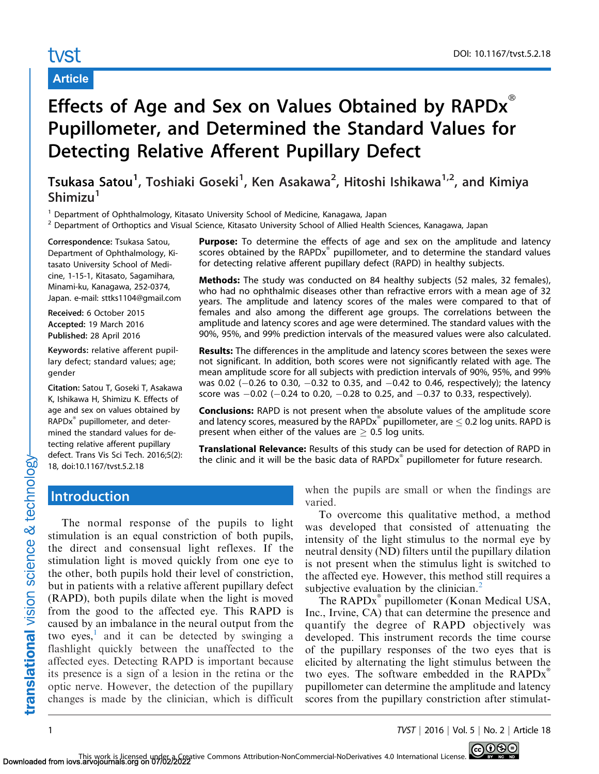# tvst

# Article

# Effects of Age and Sex on Values Obtained by  $RAPDx^{\alpha}$ Pupillometer, and Determined the Standard Values for Detecting Relative Afferent Pupillary Defect

Tsukasa Satou<sup>1</sup>, Toshiaki Goseki<sup>1</sup>, Ken Asakawa<sup>2</sup>, Hitoshi Ishikawa<sup>1,2</sup>, and Kimiya  $Shimizu<sup>1</sup>$ 

 $1$  Department of Ophthalmology, Kitasato University School of Medicine, Kanagawa, Japan

<sup>2</sup> Department of Orthoptics and Visual Science, Kitasato University School of Allied Health Sciences, Kanagawa, Japan

Correspondence: Tsukasa Satou, Department of Ophthalmology, Kitasato University School of Medicine, 1-15-1, Kitasato, Sagamihara, Minami-ku, Kanagawa, 252-0374, Japan. e-mail: sttks1104@gmail.com

Received: 6 October 2015 Accepted: 19 March 2016 Published: 28 April 2016

Keywords: relative afferent pupillary defect; standard values; age; gender

Citation: Satou T, Goseki T, Asakawa K, Ishikawa H, Shimizu K. Effects of age and sex on values obtained by RAPDx<sup>®</sup> pupillometer, and determined the standard values for detecting relative afferent pupillary defect. Trans Vis Sci Tech. 2016;5(2): 18, doi:10.1167/tvst.5.2.18

**Purpose:** To determine the effects of age and sex on the amplitude and latency scores obtained by the  $RAPDx^*$  pupillometer, and to determine the standard values for detecting relative afferent pupillary defect (RAPD) in healthy subjects.

Methods: The study was conducted on 84 healthy subjects (52 males, 32 females), who had no ophthalmic diseases other than refractive errors with a mean age of 32 years. The amplitude and latency scores of the males were compared to that of females and also among the different age groups. The correlations between the amplitude and latency scores and age were determined. The standard values with the 90%, 95%, and 99% prediction intervals of the measured values were also calculated.

**Results:** The differences in the amplitude and latency scores between the sexes were not significant. In addition, both scores were not significantly related with age. The mean amplitude score for all subjects with prediction intervals of 90%, 95%, and 99% was 0.02 (–0.26 to 0.30, –0.32 to 0.35, and –0.42 to 0.46, respectively); the latency score was  $-0.02$  ( $-0.24$  to 0.20,  $-0.28$  to 0.25, and  $-0.37$  to 0.33, respectively).

**Conclusions:** RAPD is not present when the absolute values of the amplitude score and latency scores, measured by the RAPDx $\degree$  pupillometer, are  $\leq$  0.2 log units. RAPD is present when either of the values are  $\geq$  0.5 log units.

Translational Relevance: Results of this study can be used for detection of RAPD in the clinic and it will be the basic data of  $RAPDx^*$  pupillometer for future research.

## **Introduction**

The normal response of the pupils to light stimulation is an equal constriction of both pupils, the direct and consensual light reflexes. If the stimulation light is moved quickly from one eye to the other, both pupils hold their level of constriction, but in patients with a relative afferent pupillary defect (RAPD), both pupils dilate when the light is moved from the good to the affected eye. This RAPD is caused by an imbalance in the neural output from the two eyes,<sup>1</sup> and it can be detected by swinging a flashlight quickly between the unaffected to the affected eyes. Detecting RAPD is important because its presence is a sign of a lesion in the retina or the optic nerve. However, the detection of the pupillary changes is made by the clinician, which is difficult

when the pupils are small or when the findings are varied.

To overcome this qualitative method, a method was developed that consisted of attenuating the intensity of the light stimulus to the normal eye by neutral density (ND) filters until the pupillary dilation is not present when the stimulus light is switched to the affected eye. However, this method still requires a subjective evaluation by the clinician.<sup>[2](#page-4-0)</sup>

The RAPDx<sup>®</sup> pupillometer (Konan Medical USA, Inc., Irvine, CA) that can determine the presence and quantify the degree of RAPD objectively was developed. This instrument records the time course of the pupillary responses of the two eyes that is elicited by alternating the light stimulus between the two eyes. The software embedded in the  $\text{RAPDx}^*$ pupillometer can determine the amplitude and latency scores from the pupillary constriction after stimulat-

1 TVST | 2016 | Vol. 5 | No. 2 | Article 18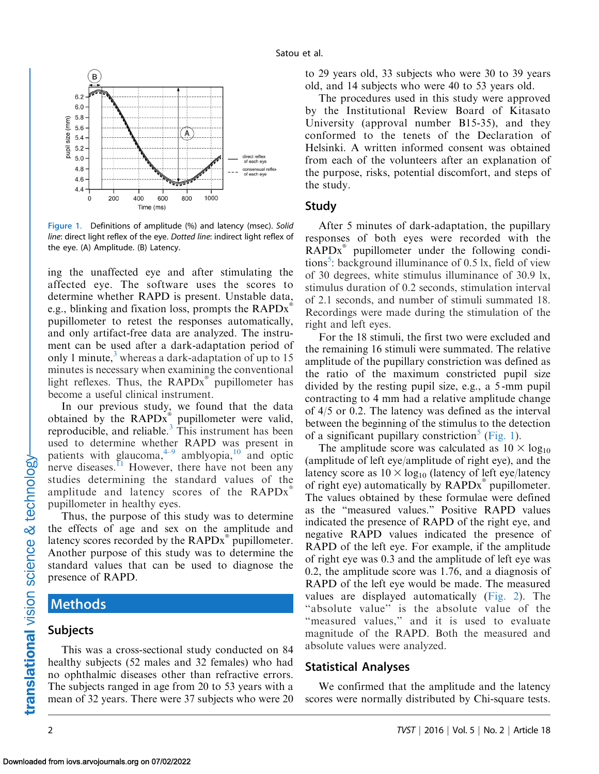

Figure 1. Definitions of amplitude (%) and latency (msec). Solid line: direct light reflex of the eye. Dotted line: indirect light reflex of the eye. (A) Amplitude. (B) Latency.

ing the unaffected eye and after stimulating the affected eye. The software uses the scores to determine whether RAPD is present. Unstable data, e.g., blinking and fixation loss, prompts the  $\text{RAPDx}^*$ pupillometer to retest the responses automatically, and only artifact-free data are analyzed. The instrument can be used after a dark-adaptation period of only 1 minute, $3 \text{ whereas a dark-adaptation of up to } 15$  $3 \text{ whereas a dark-adaptation of up to } 15$ minutes is necessary when examining the conventional light reflexes. Thus, the  $RAPDx^*$  pupillometer has become a useful clinical instrument.

In our previous study, we found that the data obtained by the  $\text{RAPDx}^*$  pupillometer were valid, reproducible, and reliable. $3$  This instrument has been used to determine whether RAPD was present in patients with glaucoma, $4\frac{4}{9}$  amblyopia, $10$  and optic nerve diseases.<sup>[11](#page-4-0)</sup> However, there have not been any studies determining the standard values of the amplitude and latency scores of the  $RAPDx^*$ pupillometer in healthy eyes.

Thus, the purpose of this study was to determine the effects of age and sex on the amplitude and latency scores recorded by the  $\text{RAPDx}^*$  pupillometer. Another purpose of this study was to determine the standard values that can be used to diagnose the presence of RAPD.

# **Methods**

#### Subjects

This was a cross-sectional study conducted on 84 healthy subjects (52 males and 32 females) who had no ophthalmic diseases other than refractive errors. The subjects ranged in age from 20 to 53 years with a mean of 32 years. There were 37 subjects who were 20 to 29 years old, 33 subjects who were 30 to 39 years old, and 14 subjects who were 40 to 53 years old.

The procedures used in this study were approved by the Institutional Review Board of Kitasato University (approval number B15-35), and they conformed to the tenets of the Declaration of Helsinki. A written informed consent was obtained from each of the volunteers after an explanation of the purpose, risks, potential discomfort, and steps of the study.

#### Study

After 5 minutes of dark-adaptation, the pupillary responses of both eyes were recorded with the  $RAPDx^*$  pupillometer under the following condi-tions<sup>[5](#page-4-0)</sup>: background illuminance of 0.5 lx, field of view of 30 degrees, white stimulus illuminance of 30.9 lx, stimulus duration of 0.2 seconds, stimulation interval of 2.1 seconds, and number of stimuli summated 18. Recordings were made during the stimulation of the right and left eyes.

For the 18 stimuli, the first two were excluded and the remaining 16 stimuli were summated. The relative amplitude of the pupillary constriction was defined as the ratio of the maximum constricted pupil size divided by the resting pupil size, e.g., a 5 -mm pupil contracting to 4 mm had a relative amplitude change of 4/5 or 0.2. The latency was defined as the interval between the beginning of the stimulus to the detection of a significant pupillary constriction<sup>[5](#page-4-0)</sup> (Fig. 1).

The amplitude score was calculated as  $10 \times log_{10}$ (amplitude of left eye/amplitude of right eye), and the latency score as  $10 \times \log_{10}$  (latency of left eye/latency of right eye) automatically by  $\text{RAPDx}^*$  pupillometer. The values obtained by these formulae were defined as the ''measured values.'' Positive RAPD values indicated the presence of RAPD of the right eye, and negative RAPD values indicated the presence of RAPD of the left eye. For example, if the amplitude of right eye was 0.3 and the amplitude of left eye was 0.2, the amplitude score was 1.76, and a diagnosis of RAPD of the left eye would be made. The measured values are displayed automatically ([Fig. 2\)](#page-2-0). The "absolute value" is the absolute value of the "measured values," and it is used to evaluate magnitude of the RAPD. Both the measured and absolute values were analyzed.

### Statistical Analyses

We confirmed that the amplitude and the latency scores were normally distributed by Chi-square tests.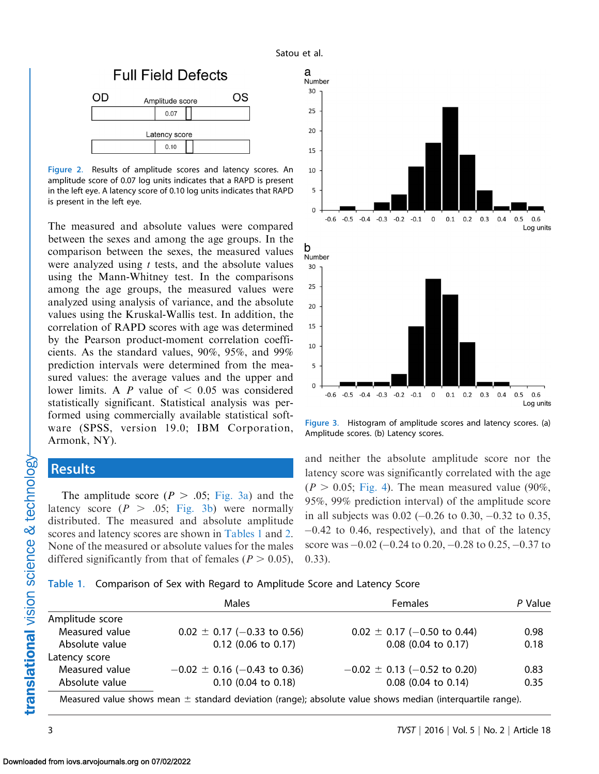<span id="page-2-0"></span>

Figure 2. Results of amplitude scores and latency scores. An amplitude score of 0.07 log units indicates that a RAPD is present in the left eye. A latency score of 0.10 log units indicates that RAPD is present in the left eye.

The measured and absolute values were compared between the sexes and among the age groups. In the comparison between the sexes, the measured values were analyzed using  $t$  tests, and the absolute values using the Mann-Whitney test. In the comparisons among the age groups, the measured values were analyzed using analysis of variance, and the absolute values using the Kruskal-Wallis test. In addition, the correlation of RAPD scores with age was determined by the Pearson product-moment correlation coefficients. As the standard values, 90%, 95%, and 99% prediction intervals were determined from the measured values: the average values and the upper and lower limits. A  $P$  value of  $< 0.05$  was considered statistically significant. Statistical analysis was performed using commercially available statistical software (SPSS, version 19.0; IBM Corporation, Armonk, NY).

# **Results**

The amplitude score  $(P > .05; Fig. 3a)$  and the latency score  $(P > .05; Fig. 3b)$  were normally distributed. The measured and absolute amplitude scores and latency scores are shown in Tables 1 and [2](#page-3-0). None of the measured or absolute values for the males differed significantly from that of females ( $P > 0.05$ ),





Figure 3. Histogram of amplitude scores and latency scores. (a) Amplitude scores. (b) Latency scores.

and neither the absolute amplitude score nor the latency score was significantly correlated with the age  $(P > 0.05;$  [Fig. 4\)](#page-3-0). The mean measured value (90%, 95%, 99% prediction interval) of the amplitude score in all subjects was  $0.02$  ( $-0.26$  to  $0.30$ ,  $-0.32$  to  $0.35$ , -0.42 to 0.46, respectively), and that of the latency score was  $-0.02$  (-0.24 to 0.20, -0.28 to 0.25, -0.37 to 0.33).

|                 | Males                                                                                                          | <b>Females</b>                   | P Value |  |
|-----------------|----------------------------------------------------------------------------------------------------------------|----------------------------------|---------|--|
| Amplitude score |                                                                                                                |                                  |         |  |
| Measured value  | $0.02 \pm 0.17$ (-0.33 to 0.56)                                                                                | $0.02 \pm 0.17$ (-0.50 to 0.44)  | 0.98    |  |
| Absolute value  | $0.12$ (0.06 to 0.17)                                                                                          | $0.08$ (0.04 to 0.17)            | 0.18    |  |
| Latency score   |                                                                                                                |                                  |         |  |
| Measured value  | $-0.02 \pm 0.16$ (-0.43 to 0.36)                                                                               | $-0.02 \pm 0.13$ (-0.52 to 0.20) | 0.83    |  |
| Absolute value  | $0.10$ (0.04 to 0.18)                                                                                          | $0.08$ (0.04 to 0.14)            | 0.35    |  |
|                 | Measured value shows mean $\pm$ standard deviation (range); absolute value shows median (interquartile range). |                                  |         |  |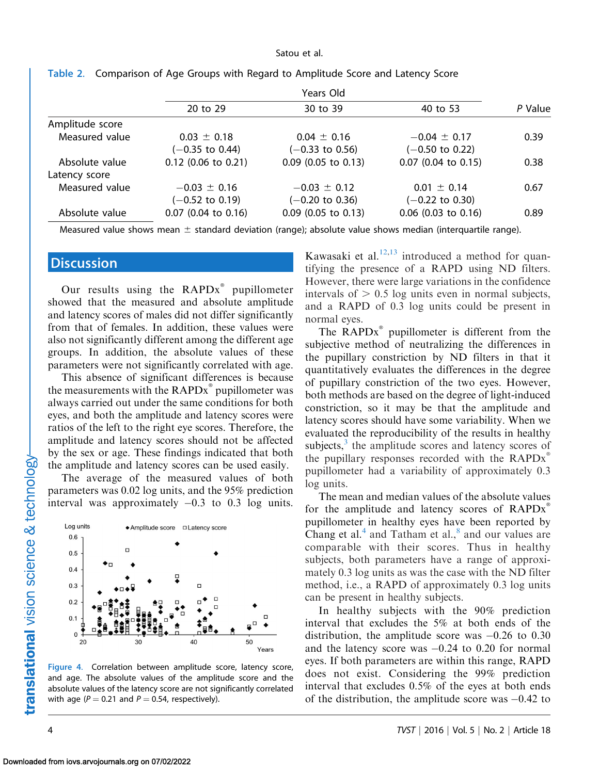|                 |                            | Years Old                  |                            |         |  |
|-----------------|----------------------------|----------------------------|----------------------------|---------|--|
|                 | 20 to 29                   | 30 to 39                   | 40 to 53                   | P Value |  |
| Amplitude score |                            |                            |                            |         |  |
| Measured value  | $0.03 \pm 0.18$            | $0.04 \pm 0.16$            | $-0.04 \pm 0.17$           | 0.39    |  |
|                 | $(-0.35$ to 0.44)          | $(-0.33 \text{ to } 0.56)$ | $(-0.50 \text{ to } 0.22)$ |         |  |
| Absolute value  | $0.12$ (0.06 to 0.21)      | $0.09$ (0.05 to 0.13)      | $0.07$ (0.04 to 0.15)      | 0.38    |  |
| Latency score   |                            |                            |                            |         |  |
| Measured value  | $-0.03 \pm 0.16$           | $-0.03 \pm 0.12$           | $0.01 \pm 0.14$            | 0.67    |  |
|                 | $(-0.52 \text{ to } 0.19)$ | $(-0.20 \text{ to } 0.36)$ | $(-0.22 \text{ to } 0.30)$ |         |  |
| Absolute value  | $0.07$ (0.04 to 0.16)      | $0.09$ (0.05 to 0.13)      | $0.06$ (0.03 to 0.16)      | 0.89    |  |

<span id="page-3-0"></span>

|  |  | Table 2. Comparison of Age Groups with Regard to Amplitude Score and Latency Score |  |  |
|--|--|------------------------------------------------------------------------------------|--|--|
|  |  |                                                                                    |  |  |

Measured value shows mean  $\pm$  standard deviation (range); absolute value shows median (interquartile range).

## **Discussion**

Our results using the  $RAPDx^*$  pupillometer showed that the measured and absolute amplitude and latency scores of males did not differ significantly from that of females. In addition, these values were also not significantly different among the different age groups. In addition, the absolute values of these parameters were not significantly correlated with age.

This absence of significant differences is because the measurements with the  $\text{RAPDx}^*$  pupillometer was always carried out under the same conditions for both eyes, and both the amplitude and latency scores were ratios of the left to the right eye scores. Therefore, the amplitude and latency scores should not be affected by the sex or age. These findings indicated that both the amplitude and latency scores can be used easily.

The average of the measured values of both parameters was 0.02 log units, and the 95% prediction interval was approximately -0.3 to 0.3 log units.



Figure 4. Correlation between amplitude score, latency score, and age. The absolute values of the amplitude score and the absolute values of the latency score are not significantly correlated with age ( $P = 0.21$  and  $P = 0.54$ , respectively).

Kawasaki et al. $12,13$  introduced a method for quantifying the presence of a RAPD using ND filters. However, there were large variations in the confidence intervals of  $> 0.5$  log units even in normal subjects, and a RAPD of 0.3 log units could be present in normal eyes.

The  $RAPDx^{\dagger}$  pupillometer is different from the subjective method of neutralizing the differences in the pupillary constriction by ND filters in that it quantitatively evaluates the differences in the degree of pupillary constriction of the two eyes. However, both methods are based on the degree of light-induced constriction, so it may be that the amplitude and latency scores should have some variability. When we evaluated the reproducibility of the results in healthy subjects, $3$  the amplitude scores and latency scores of the pupillary responses recorded with the  $\text{RAPDx}^*$ pupillometer had a variability of approximately 0.3 log units.

The mean and median values of the absolute values for the amplitude and latency scores of  $\text{RAPDx}^*$ pupillometer in healthy eyes have been reported by Chang et al. $4$  and Tatham et al. $8$  and our values are comparable with their scores. Thus in healthy subjects, both parameters have a range of approximately 0.3 log units as was the case with the ND filter method, i.e., a RAPD of approximately 0.3 log units can be present in healthy subjects.

In healthy subjects with the 90% prediction interval that excludes the 5% at both ends of the distribution, the amplitude score was  $-0.26$  to 0.30 and the latency score was  $-0.24$  to 0.20 for normal eyes. If both parameters are within this range, RAPD does not exist. Considering the 99% prediction interval that excludes 0.5% of the eyes at both ends of the distribution, the amplitude score was  $-0.42$  to